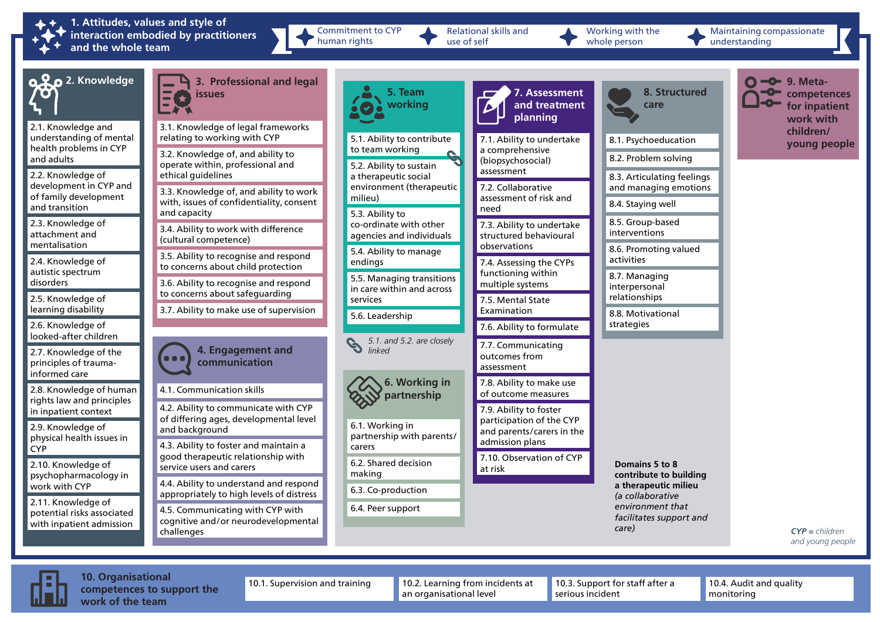

**1. Attitudes, values and style of interaction embodied by practitioners and the whole team**

Commitment to CYP human rights

Relational skills and use of self

Working with the whole person

Maintaining compassionate understanding





**10. Organisational competences to support the work of the team**

10.1. Supervision and training 10.2. Learning from incidents at an organisational level

10.3. Support for staff after a serious incident

10.4. Audit and quality monitoring